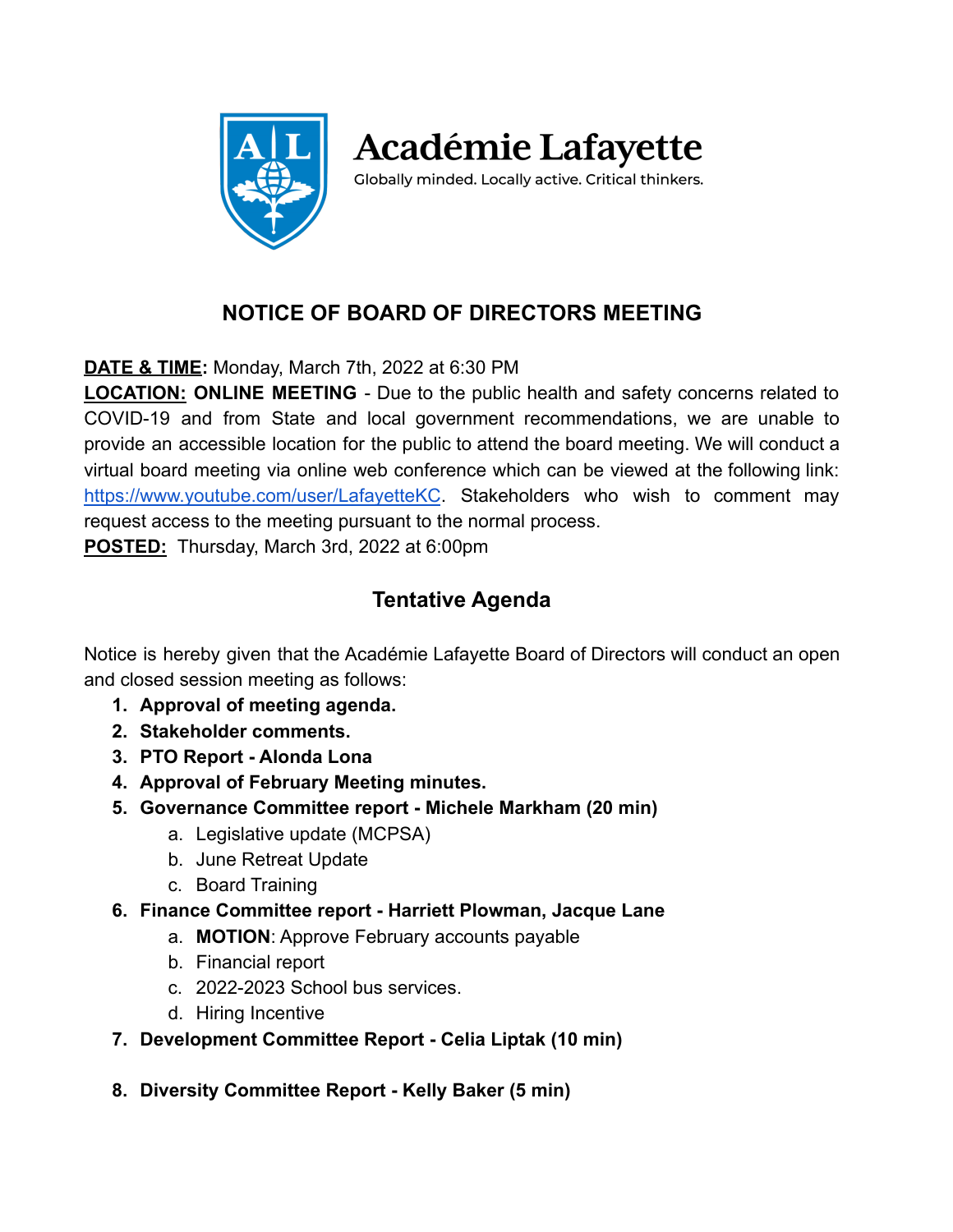

**Académie Lafayette** 

Globally minded. Locally active. Critical thinkers.

# **NOTICE OF BOARD OF DIRECTORS MEETING**

**DATE & TIME:** Monday, March 7th, 2022 at 6:30 PM

**LOCATION: ONLINE MEETING** - Due to the public health and safety concerns related to COVID-19 and from State and local government recommendations, we are unable to provide an accessible location for the public to attend the board meeting. We will conduct a virtual board meeting via online web conference which can be viewed at the following link: <https://www.youtube.com/user/LafayetteKC>. Stakeholders who wish to comment may request access to the meeting pursuant to the normal process.

**POSTED:** Thursday, March 3rd, 2022 at 6:00pm

## **Tentative Agenda**

Notice is hereby given that the Académie Lafayette Board of Directors will conduct an open and closed session meeting as follows:

- **1. Approval of meeting agenda.**
- **2. Stakeholder comments.**
- **3. PTO Report Alonda Lona**
- **4. Approval of February Meeting minutes.**
- **5. Governance Committee report Michele Markham (20 min)**
	- a. Legislative update (MCPSA)
	- b. June Retreat Update
	- c. Board Training
- **6. Finance Committee report Harriett Plowman, Jacque Lane**
	- a. **MOTION**: Approve February accounts payable
	- b. Financial report
	- c. 2022-2023 School bus services.
	- d. Hiring Incentive
- **7. Development Committee Report Celia Liptak (10 min)**
- **8. Diversity Committee Report Kelly Baker (5 min)**